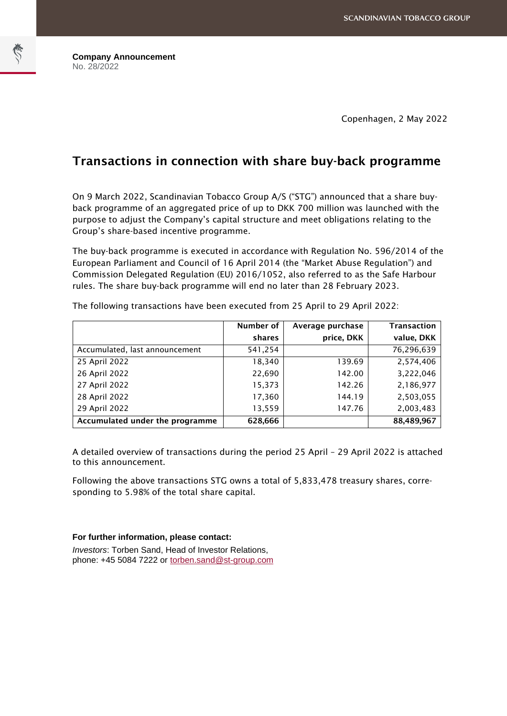Copenhagen, 2 May 2022

## Transactions in connection with share buy-back programme

On 9 March 2022, Scandinavian Tobacco Group A/S ("STG") announced that a share buyback programme of an aggregated price of up to DKK 700 million was launched with the purpose to adjust the Company's capital structure and meet obligations relating to the Group's share-based incentive programme.

The buy-back programme is executed in accordance with Regulation No. 596/2014 of the European Parliament and Council of 16 April 2014 (the "Market Abuse Regulation") and Commission Delegated Regulation (EU) 2016/1052, also referred to as the Safe Harbour rules. The share buy-back programme will end no later than 28 February 2023.

|                                 | Number of | Average purchase | <b>Transaction</b> |
|---------------------------------|-----------|------------------|--------------------|
|                                 | shares    | price, DKK       | value, DKK         |
| Accumulated, last announcement  | 541,254   |                  | 76,296,639         |
| 25 April 2022                   | 18,340    | 139.69           | 2,574,406          |
| 26 April 2022                   | 22,690    | 142.00           | 3,222,046          |
| 27 April 2022                   | 15,373    | 142.26           | 2,186,977          |
| 28 April 2022                   | 17,360    | 144.19           | 2,503,055          |
| 29 April 2022                   | 13,559    | 147.76           | 2,003,483          |
| Accumulated under the programme | 628,666   |                  | 88,489,967         |

The following transactions have been executed from 25 April to 29 April 2022:

A detailed overview of transactions during the period 25 April – 29 April 2022 is attached to this announcement.

Following the above transactions STG owns a total of 5,833,478 treasury shares, corresponding to 5.98% of the total share capital.

## **For further information, please contact:**

*Investors*: Torben Sand, Head of Investor Relations, phone: +45 5084 7222 or [torben.sand@st-group.com](mailto:torben.sand@st-group.com)